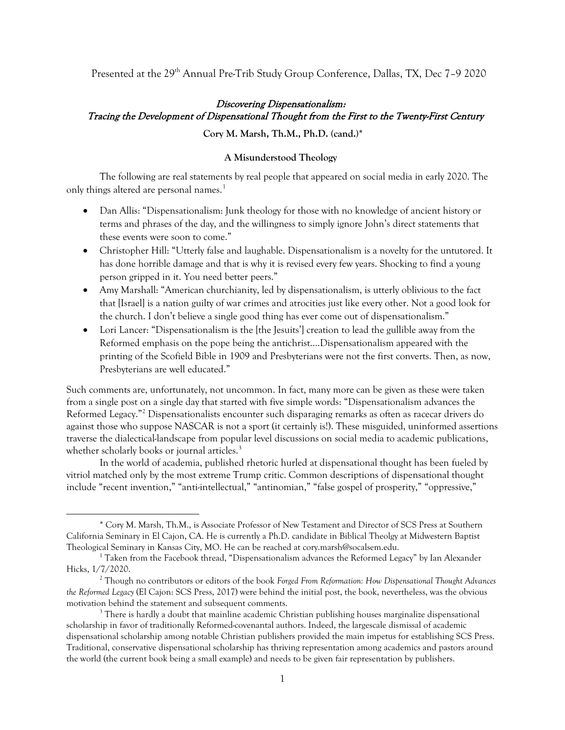Presented at the 29<sup>th</sup> Annual Pre-Trib Study Group Conference, Dallas, TX, Dec 7-9 2020

# Discovering Dispensationalism: Tracing the Development of Dispensational Thought from the First to the Twenty-First Century

**Cory M. Marsh, Th.M., Ph.D. (cand.)\***

## **A Misunderstood Theology**

The following are real statements by real people that appeared on social media in early 2020. The only things altered are personal names. [1](#page-0-0)

- Dan Allis: "Dispensationalism: Junk theology for those with no knowledge of ancient history or terms and phrases of the day, and the willingness to simply ignore John's direct statements that these events were soon to come."
- Christopher Hill: "Utterly false and laughable. Dispensationalism is a novelty for the untutored. It has done horrible damage and that is why it is revised every few years. Shocking to find a young person gripped in it. You need better peers."
- Amy Marshall: "American churchianity, led by dispensationalism, is utterly oblivious to the fact that [Israel] is a nation guilty of war crimes and atrocities just like every other. Not a good look for the church. I don't believe a single good thing has ever come out of dispensationalism."
- Lori Lancer: "Dispensationalism is the [the Jesuits'] creation to lead the gullible away from the Reformed emphasis on the pope being the antichrist….Dispensationalism appeared with the printing of the Scofield Bible in 1909 and Presbyterians were not the first converts. Then, as now, Presbyterians are well educated."

Such comments are, unfortunately, not uncommon. In fact, many more can be given as these were taken from a single post on a single day that started with five simple words: "Dispensationalism advances the Reformed Legacy.["2](#page-0-1) Dispensationalists encounter such disparaging remarks as often as racecar drivers do against those who suppose NASCAR is not a sport (it certainly is!). These misguided, uninformed assertions traverse the dialectical-landscape from popular level discussions on social media to academic publications, whether scholarly books or journal articles.<sup>[3](#page-0-2)</sup>

In the world of academia, published rhetoric hurled at dispensational thought has been fueled by vitriol matched only by the most extreme Trump critic. Common descriptions of dispensational thought include "recent invention," "anti-intellectual," "antinomian," "false gospel of prosperity," "oppressive,"

<span id="page-0-0"></span><sup>\*</sup> Cory M. Marsh, Th.M., is Associate Professor of New Testament and Director of SCS Press at Southern California Seminary in El Cajon, CA. He is currently a Ph.D. candidate in Biblical Theolgy at Midwestern Baptist Theological Seminary in Kansas City, MO. He can be reached at cory.marsh@socalsem.edu. 1 Taken from the Facebook thread, "Dispensationalism advances the Reformed Legacy" by Ian Alexander

Hicks, 1/7/2020.

<span id="page-0-1"></span><sup>2</sup> Though no contributors or editors of the book *Forged From Reformation: How Dispensational Thought Advances the Reformed Legacy* (El Cajon: SCS Press, 2017) were behind the initial post, the book, nevertheless, was the obvious motivation behind the statement and subsequent comments.

<span id="page-0-2"></span> $3$  There is hardly a doubt that mainline academic Christian publishing houses marginalize dispensational scholarship in favor of traditionally Reformed-covenantal authors. Indeed, the largescale dismissal of academic dispensational scholarship among notable Christian publishers provided the main impetus for establishing SCS Press. Traditional, conservative dispensational scholarship has thriving representation among academics and pastors around the world (the current book being a small example) and needs to be given fair representation by publishers.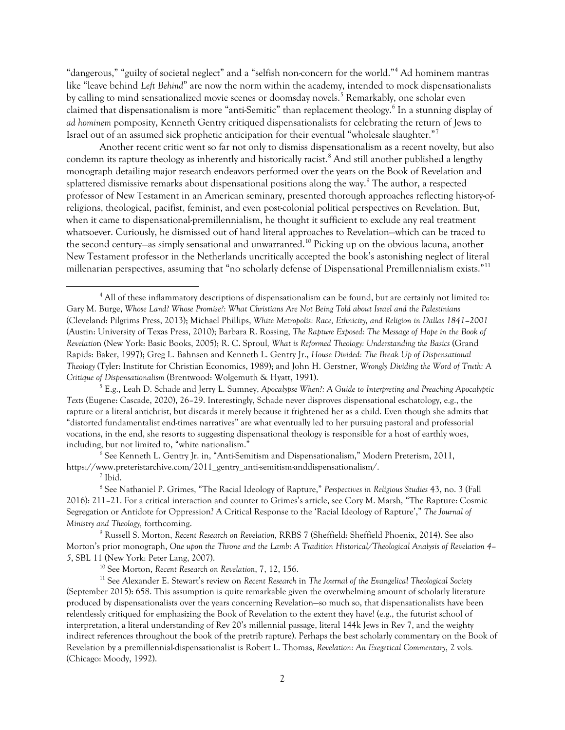"dangerous," "guilty of societal neglect" and a "selfish non-concern for the world."[4](#page-1-0) Ad hominem mantras like "leave behind *Left Behind*" are now the norm within the academy, intended to mock dispensationalists by calling to mind sensationalized movie scenes or doomsday novels.<sup>[5](#page-1-1)</sup> Remarkably, one scholar even claimed that dispensationalism is more "anti-Semitic" than replacement theology.<sup>[6](#page-1-2)</sup> In a stunning display of *ad hominem* pomposity, Kenneth Gentry critiqued dispensationalists for celebrating the return of Jews to Israel out of an assumed sick prophetic anticipation for their eventual "wholesale slaughter."[7](#page-1-3)

Another recent critic went so far not only to dismiss dispensationalism as a recent novelty, but also condemn its rapture theology as inherently and historically racist.<sup>[8](#page-1-4)</sup> And still another published a lengthy monograph detailing major research endeavors performed over the years on the Book of Revelation and splattered dismissive remarks about dispensational positions along the way. [9](#page-1-5) The author, a respected professor of New Testament in an American seminary, presented thorough approaches reflecting history-ofreligions, theological, pacifist, feminist, and even post-colonial political perspectives on Revelation. But, when it came to dispensational-premillennialism, he thought it sufficient to exclude any real treatment whatsoever. Curiously, he dismissed out of hand literal approaches to Revelation—which can be traced to the second century—as simply sensational and unwarranted.<sup>[10](#page-1-6)</sup> Picking up on the obvious lacuna, another New Testament professor in the Netherlands uncritically accepted the book's astonishing neglect of literal millenarian perspectives, assuming that "no scholarly defense of Dispensational Premillennialism exists.["11](#page-1-7)

<span id="page-1-2"></span> $6$  See Kenneth L. Gentry Jr. in, "Anti-Semitism and Dispensationalism," Modern Preterism, 2011, https://www.preteristarchive.com/2011\_gentry\_anti-semitism-anddispensationalism/.

<sup>10</sup> See Morton, *Recent Research on Revelation*, 7, 12, 156.

<span id="page-1-0"></span><sup>4</sup> All of these inflammatory descriptions of dispensationalism can be found, but are certainly not limited to: Gary M. Burge, *Whose Land? Whose Promise?: What Christians Are Not Being Told about Israel and the Palestinians* (Cleveland: Pilgrims Press, 2013); Michael Phillips, *White Metropolis: Race, Ethnicity, and Religion in Dallas 1841–2001* (Austin: University of Texas Press, 2010); Barbara R. Rossing, *The Rapture Exposed: The Message of Hope in the Book of Revelatio*n (New York: Basic Books, 2005); R. C. Sproul*, What is Reformed Theology: Understanding the Basics* (Grand Rapids: Baker, 1997); Greg L. Bahnsen and Kenneth L. Gentry Jr., *House Divided: The Break Up of Dispensational Theology* (Tyler: Institute for Christian Economics, 1989); and John H. Gerstner, *Wrongly Dividing the Word of Truth: A Critique of Dispensationalism* (Brentwood: Wolgemuth & Hyatt, 1991).

<span id="page-1-1"></span><sup>5</sup> E.g., Leah D. Schade and Jerry L. Sumney, *Apocalypse When?: A Guide to Interpreting and Preaching Apocalyptic Texts* (Eugene: Cascade, 2020), 26–29. Interestingly, Schade never disproves dispensational eschatology, e.g., the rapture or a literal antichrist, but discards it merely because it frightened her as a child. Even though she admits that "distorted fundamentalist end-times narratives" are what eventually led to her pursuing pastoral and professorial vocations, in the end, she resorts to suggesting dispensational theology is responsible for a host of earthly woes, including, but not limited to, "white nationalism."

<sup>7</sup> Ibid.

<span id="page-1-4"></span><span id="page-1-3"></span><sup>8</sup> See Nathaniel P. Grimes, "The Racial Ideology of Rapture," *Perspectives in Religious Studies* 43, no. 3 (Fall 2016): 211–21. For a critical interaction and counter to Grimes's article, see Cory M. Marsh, "The Rapture: Cosmic Segregation or Antidote for Oppression? A Critical Response to the 'Racial Ideology of Rapture'," *The Journal of Ministry and Theology,* forthcoming.

<span id="page-1-5"></span><sup>9</sup> Russell S. Morton, *Recent Research on Revelation*, RRBS 7 (Sheffield: Sheffield Phoenix, 2014). See also Morton's prior monograph, *One upon the Throne and the Lamb: A Tradition Historical/Theological Analysis of Revelation 4– 5*, SBL 11 (New York: Peter Lang, 2007).

<span id="page-1-7"></span><span id="page-1-6"></span><sup>11</sup> See Alexander E. Stewart's review on *Recent Research* in *The Journal of the Evangelical Theological Society* (September 2015): 658. This assumption is quite remarkable given the overwhelming amount of scholarly literature produced by dispensationalists over the years concerning Revelation—so much so, that dispensationalists have been relentlessly critiqued for emphasizing the Book of Revelation to the extent they have! (e.g., the futurist school of interpretation, a literal understanding of Rev 20's millennial passage, literal 144k Jews in Rev 7, and the weighty indirect references throughout the book of the pretrib rapture). Perhaps the best scholarly commentary on the Book of Revelation by a premillennial-dispensationalist is Robert L. Thomas, *Revelation: An Exegetical Commentary*, 2 vols*.* (Chicago: Moody, 1992).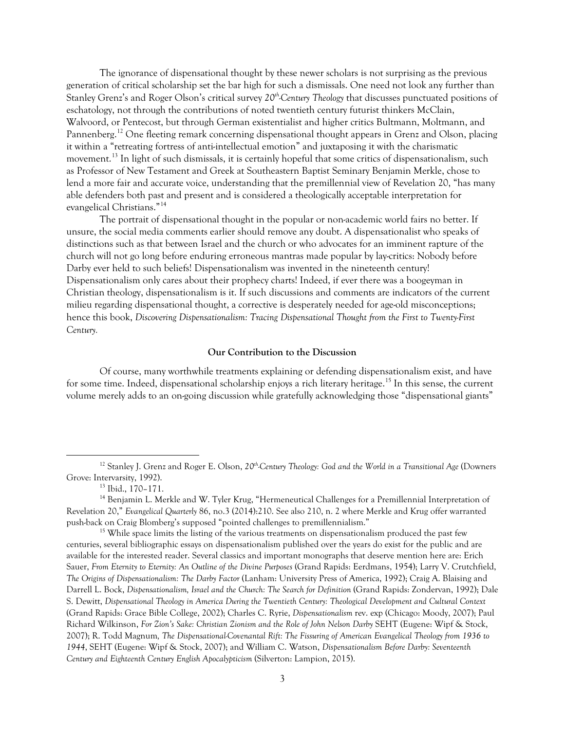The ignorance of dispensational thought by these newer scholars is not surprising as the previous generation of critical scholarship set the bar high for such a dismissals. One need not look any further than Stanley Grenz's and Roger Olson's critical survey *20th-Century Theology* that discusses punctuated positions of eschatology, not through the contributions of noted twentieth century futurist thinkers McClain, Walvoord, or Pentecost, but through German existentialist and higher critics Bultmann, Moltmann, and Pannenberg.<sup>[12](#page-2-0)</sup> One fleeting remark concerning dispensational thought appears in Grenz and Olson, placing it within a "retreating fortress of anti-intellectual emotion" and juxtaposing it with the charismatic movement.[13](#page-2-1) In light of such dismissals, it is certainly hopeful that some critics of dispensationalism, such as Professor of New Testament and Greek at Southeastern Baptist Seminary Benjamin Merkle, chose to lend a more fair and accurate voice, understanding that the premillennial view of Revelation 20, "has many able defenders both past and present and is considered a theologically acceptable interpretation for evangelical Christians."[14](#page-2-2)

The portrait of dispensational thought in the popular or non-academic world fairs no better. If unsure, the social media comments earlier should remove any doubt. A dispensationalist who speaks of distinctions such as that between Israel and the church or who advocates for an imminent rapture of the church will not go long before enduring erroneous mantras made popular by lay-critics: Nobody before Darby ever held to such beliefs! Dispensationalism was invented in the nineteenth century! Dispensationalism only cares about their prophecy charts! Indeed, if ever there was a boogeyman in Christian theology, dispensationalism is it. If such discussions and comments are indicators of the current milieu regarding dispensational thought, a corrective is desperately needed for age-old misconceptions; hence this book, *Discovering Dispensationalism: Tracing Dispensational Thought from the First to Twenty-First Century.* 

### **Our Contribution to the Discussion**

Of course, many worthwhile treatments explaining or defending dispensationalism exist, and have for some time. Indeed, dispensational scholarship enjoys a rich literary heritage. [15](#page-2-3) In this sense, the current volume merely adds to an on-going discussion while gratefully acknowledging those "dispensational giants"

<span id="page-2-0"></span><sup>&</sup>lt;sup>12</sup> Stanley J. Grenz and Roger E. Olson, 20<sup>th</sup>-Century Theology: God and the World in a Transitional Age (Downers Grove: Intervarsity, 1992).

<sup>13</sup> Ibid., 170–171.

<span id="page-2-2"></span><span id="page-2-1"></span><sup>&</sup>lt;sup>14</sup> Benjamin L. Merkle and W. Tyler Krug, "Hermeneutical Challenges for a Premillennial Interpretation of Revelation 20," *Evangelical Quarterly* 86, no.3 (2014):210. See also 210, n. 2 where Merkle and Krug offer warranted push-back on Craig Blomberg's supposed "pointed challenges to premillennialism." 15 While space limits the listing of the various treatments on dispensationalism produced the past few

<span id="page-2-3"></span>centuries, several bibliographic essays on dispensationalism published over the years do exist for the public and are available for the interested reader. Several classics and important monographs that deserve mention here are: Erich Sauer, *From Eternity to Eternity: An Outline of the Divine Purposes* (Grand Rapids: Eerdmans, 1954); Larry V. Crutchfield, *The Origins of Dispensationalism: The Darby Factor* (Lanham: University Press of America, 1992); Craig A. Blaising and Darrell L. Bock, *Dispensationalism, Israel and the Church: The Search for Definition* (Grand Rapids: Zondervan, 1992); Dale S. Dewitt, *Dispensational Theology in America During the Twentieth Century: Theological Development and Cultural Context*  (Grand Rapids: Grace Bible College, 2002); Charles C. Ryrie, *Dispensationalism* rev. exp (Chicago: Moody, 2007); Paul Richard Wilkinson, *For Zion's Sake: Christian Zionism and the Role of John Nelson Darby* SEHT (Eugene: Wipf & Stock, 2007); R. Todd Magnum*, The Dispensational-Covenantal Rift: The Fissuring of American Evangelical Theology from 1936 to 1944*, SEHT (Eugene: Wipf & Stock, 2007); and William C. Watson, *Dispensationalism Before Darby: Seventeenth Century and Eighteenth Century English Apocalypticism* (Silverton: Lampion, 2015).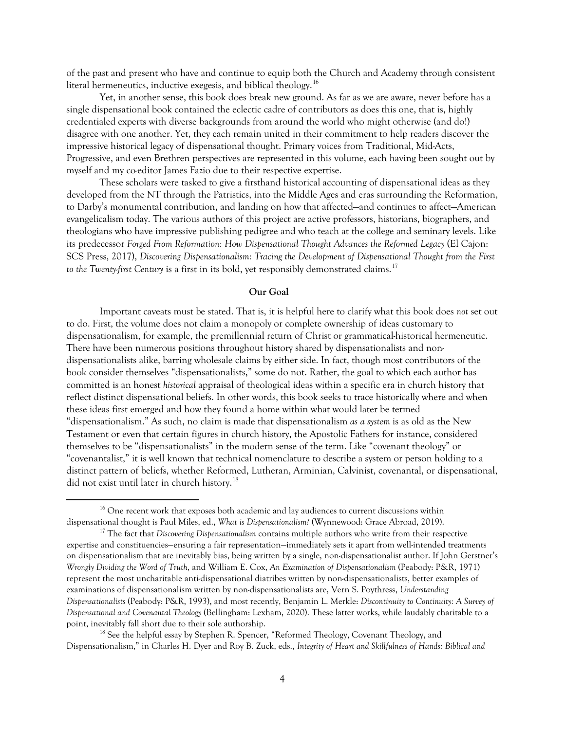of the past and present who have and continue to equip both the Church and Academy through consistent literal hermeneutics, inductive exegesis, and biblical theology. [16](#page-3-0)

Yet, in another sense, this book does break new ground. As far as we are aware, never before has a single dispensational book contained the eclectic cadre of contributors as does this one, that is, highly credentialed experts with diverse backgrounds from around the world who might otherwise (and do!) disagree with one another. Yet, they each remain united in their commitment to help readers discover the impressive historical legacy of dispensational thought. Primary voices from Traditional, Mid-Acts, Progressive, and even Brethren perspectives are represented in this volume, each having been sought out by myself and my co-editor James Fazio due to their respective expertise.

These scholars were tasked to give a firsthand historical accounting of dispensational ideas as they developed from the NT through the Patristics, into the Middle Ages and eras surrounding the Reformation, to Darby's monumental contribution, and landing on how that affected—and continues to affect—American evangelicalism today. The various authors of this project are active professors, historians, biographers, and theologians who have impressive publishing pedigree and who teach at the college and seminary levels. Like its predecessor *Forged From Reformation: How Dispensational Thought Advances the Reformed Legacy* (El Cajon: SCS Press, 2017), *Discovering Dispensationalism: Tracing the Development of Dispensational Thought from the First*  to the Twenty-first Century is a first in its bold, yet responsibly demonstrated claims.<sup>[17](#page-3-1)</sup>

## **Our Goal**

Important caveats must be stated. That is, it is helpful here to clarify what this book does *not* set out to do. First, the volume does not claim a monopoly or complete ownership of ideas customary to dispensationalism, for example, the premillennial return of Christ or grammatical-historical hermeneutic. There have been numerous positions throughout history shared by dispensationalists and nondispensationalists alike, barring wholesale claims by either side. In fact, though most contributors of the book consider themselves "dispensationalists," some do not. Rather, the goal to which each author has committed is an honest *historical* appraisal of theological ideas within a specific era in church history that reflect distinct dispensational beliefs. In other words, this book seeks to trace historically where and when these ideas first emerged and how they found a home within what would later be termed "dispensationalism." As such, no claim is made that dispensationalism *as a system* is as old as the New Testament or even that certain figures in church history, the Apostolic Fathers for instance, considered themselves to be "dispensationalists" in the modern sense of the term. Like "covenant theology" or "covenantalist," it is well known that technical nomenclature to describe a system or person holding to a distinct pattern of beliefs, whether Reformed, Lutheran, Arminian, Calvinist, covenantal, or dispensational, did not exist until later in church history.<sup>[18](#page-3-2)</sup>

<span id="page-3-2"></span><sup>18</sup> See the helpful essay by Stephen R. Spencer, "Reformed Theology, Covenant Theology, and Dispensationalism," in Charles H. Dyer and Roy B. Zuck, eds., *Integrity of Heart and Skillfulness of Hands: Biblical and* 

<span id="page-3-0"></span><sup>&</sup>lt;sup>16</sup> One recent work that exposes both academic and lay audiences to current discussions within dispensational thought is Paul Miles, ed., *What is Dispensationalism?* (Wynnewood: Grace Abroad, 2019).

<span id="page-3-1"></span><sup>&</sup>lt;sup>17</sup> The fact that *Discovering Dispensationalism* contains multiple authors who write from their respective expertise and constituencies—ensuring a fair representation—immediately sets it apart from well-intended treatments on dispensationalism that are inevitably bias, being written by a single, non-dispensationalist author. If John Gerstner's *Wrongly Dividing the Word of Truth*, and William E. Cox, *An Examination of Dispensationalism* (Peabody: P&R, 1971) represent the most uncharitable anti-dispensational diatribes written by non-dispensationalists, better examples of examinations of dispensationalism written by non-dispensationalists are, Vern S. Poythress, *Understanding Dispensationalists* (Peabody: P&R, 1993), and most recently, Benjamin L. Merkle: *Discontinuity to Continuity: A Survey of Dispensational and Covenantal Theology* (Bellingham: Lexham, 2020). These latter works, while laudably charitable to a point, inevitably fall short due to their sole authorship.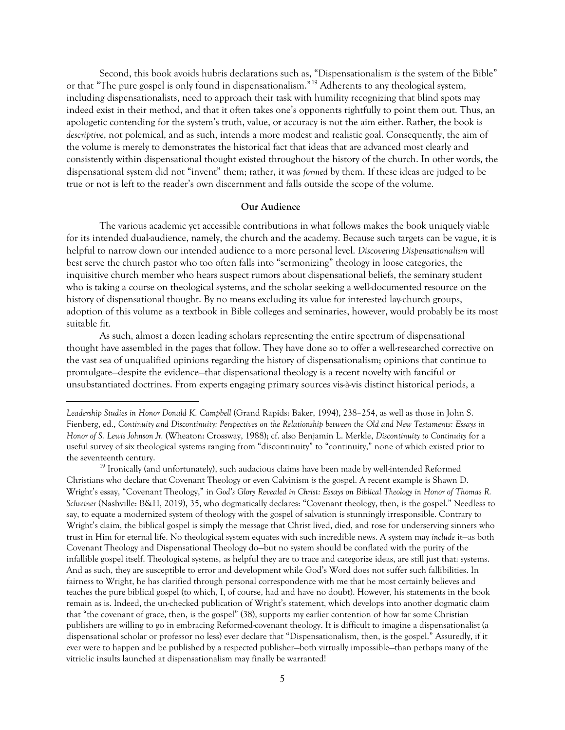Second, this book avoids hubris declarations such as, "Dispensationalism *is* the system of the Bible" or that "The pure gospel is only found in dispensationalism."[19](#page-4-0) Adherents to any theological system, including dispensationalists, need to approach their task with humility recognizing that blind spots may indeed exist in their method, and that it often takes one's opponents rightfully to point them out. Thus, an apologetic contending for the system's truth, value, or accuracy is not the aim either. Rather, the book is *descriptive*, not polemical, and as such, intends a more modest and realistic goal. Consequently, the aim of the volume is merely to demonstrates the historical fact that ideas that are advanced most clearly and consistently within dispensational thought existed throughout the history of the church. In other words, the dispensational system did not "invent" them; rather, it was *formed* by them. If these ideas are judged to be true or not is left to the reader's own discernment and falls outside the scope of the volume.

#### **Our Audience**

The various academic yet accessible contributions in what follows makes the book uniquely viable for its intended dual-audience, namely, the church and the academy. Because such targets can be vague, it is helpful to narrow down our intended audience to a more personal level. *Discovering Dispensationalism* will best serve the church pastor who too often falls into "sermonizing" theology in loose categories, the inquisitive church member who hears suspect rumors about dispensational beliefs, the seminary student who is taking a course on theological systems, and the scholar seeking a well-documented resource on the history of dispensational thought. By no means excluding its value for interested lay-church groups, adoption of this volume as a textbook in Bible colleges and seminaries, however, would probably be its most suitable fit.

As such, almost a dozen leading scholars representing the entire spectrum of dispensational thought have assembled in the pages that follow. They have done so to offer a well-researched corrective on the vast sea of unqualified opinions regarding the history of dispensationalism; opinions that continue to promulgate—despite the evidence—that dispensational theology is a recent novelty with fanciful or unsubstantiated doctrines. From experts engaging primary sources vis-à-vis distinct historical periods, a

<span id="page-4-0"></span><sup>19</sup> Ironically (and unfortunately), such audacious claims have been made by well-intended Reformed Christians who declare that Covenant Theology or even Calvinism *is* the gospel. A recent example is Shawn D. Wright's essay, "Covenant Theology," in *God's Glory Revealed in Christ: Essays on Biblical Theology in Honor of Thomas R. Schreiner* (Nashville: B&H, 2019), 35, who dogmatically declares: "Covenant theology, then, is the gospel." Needless to say, to equate a modernized system of theology with the gospel of salvation is stunningly irresponsible. Contrary to Wright's claim, the biblical gospel is simply the message that Christ lived, died, and rose for underserving sinners who trust in Him for eternal life. No theological system equates with such incredible news. A system may *include* it—as both Covenant Theology and Dispensational Theology do—but no system should be conflated with the purity of the infallible gospel itself. Theological systems, as helpful they are to trace and categorize ideas, are still just that: systems. And as such, they are susceptible to error and development while God's Word does not suffer such fallibilities. In fairness to Wright, he has clarified through personal correspondence with me that he most certainly believes and teaches the pure biblical gospel (to which, I, of course, had and have no doubt). However, his statements in the book remain as is. Indeed, the un-checked publication of Wright's statement, which develops into another dogmatic claim that "the covenant of grace, then, is the gospel" (38), supports my earlier contention of how far some Christian publishers are willing to go in embracing Reformed-covenant theology. It is difficult to imagine a dispensationalist (a dispensational scholar or professor no less) ever declare that "Dispensationalism, then, is the gospel." Assuredly, if it ever were to happen and be published by a respected publisher—both virtually impossible—than perhaps many of the vitriolic insults launched at dispensationalism may finally be warranted!

*Leadership Studies in Honor Donald K. Campbell* (Grand Rapids: Baker, 1994), 238–254, as well as those in John S. Fienberg, ed., *Continuity and Discontinuity: Perspectives on the Relationship between the Old and New Testaments: Essays in Honor of S. Lewis Johnson Jr.* (Wheaton: Crossway, 1988); cf. also Benjamin L. Merkle, *Discontinuity to Continuity* for a useful survey of six theological systems ranging from "discontinuity" to "continuity," none of which existed prior to the seventeenth century.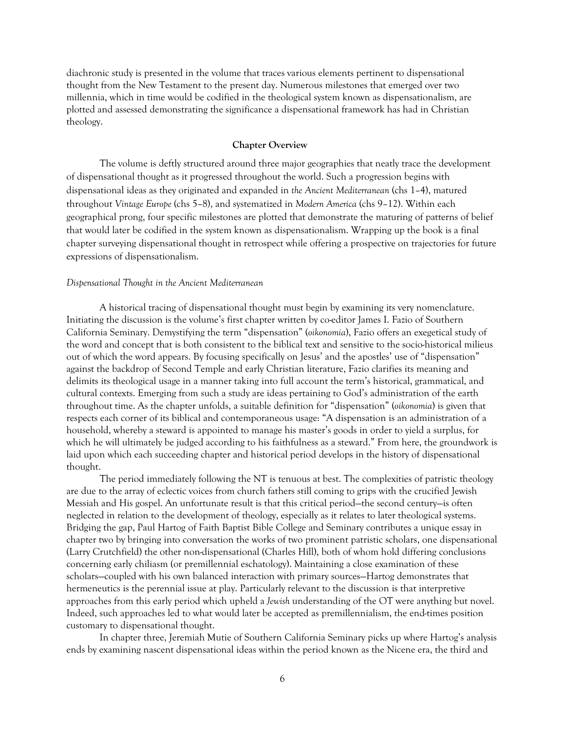diachronic study is presented in the volume that traces various elements pertinent to dispensational thought from the New Testament to the present day. Numerous milestones that emerged over two millennia, which in time would be codified in the theological system known as dispensationalism, are plotted and assessed demonstrating the significance a dispensational framework has had in Christian theology.

### **Chapter Overview**

The volume is deftly structured around three major geographies that neatly trace the development of dispensational thought as it progressed throughout the world. Such a progression begins with dispensational ideas as they originated and expanded in *the Ancient Mediterranean* (chs 1–4), matured throughout *Vintage Europe* (chs 5–8), and systematized in *Modern America* (chs 9–12). Within each geographical prong, four specific milestones are plotted that demonstrate the maturing of patterns of belief that would later be codified in the system known as dispensationalism. Wrapping up the book is a final chapter surveying dispensational thought in retrospect while offering a prospective on trajectories for future expressions of dispensationalism.

### *Dispensational Thought in the Ancient Mediterranean*

A historical tracing of dispensational thought must begin by examining its very nomenclature. Initiating the discussion is the volume's first chapter written by co-editor James I. Fazio of Southern California Seminary. Demystifying the term "dispensation" (*oikonomia*), Fazio offers an exegetical study of the word and concept that is both consistent to the biblical text and sensitive to the socio-historical milieus out of which the word appears. By focusing specifically on Jesus' and the apostles' use of "dispensation" against the backdrop of Second Temple and early Christian literature, Fazio clarifies its meaning and delimits its theological usage in a manner taking into full account the term's historical, grammatical, and cultural contexts. Emerging from such a study are ideas pertaining to God's administration of the earth throughout time. As the chapter unfolds, a suitable definition for "dispensation" (*oikonomia*) is given that respects each corner of its biblical and contemporaneous usage: "A dispensation is an administration of a household, whereby a steward is appointed to manage his master's goods in order to yield a surplus, for which he will ultimately be judged according to his faithfulness as a steward." From here, the groundwork is laid upon which each succeeding chapter and historical period develops in the history of dispensational thought.

The period immediately following the NT is tenuous at best. The complexities of patristic theology are due to the array of eclectic voices from church fathers still coming to grips with the crucified Jewish Messiah and His gospel. An unfortunate result is that this critical period—the second century—is often neglected in relation to the development of theology, especially as it relates to later theological systems. Bridging the gap, Paul Hartog of Faith Baptist Bible College and Seminary contributes a unique essay in chapter two by bringing into conversation the works of two prominent patristic scholars, one dispensational (Larry Crutchfield) the other non-dispensational (Charles Hill), both of whom hold differing conclusions concerning early chiliasm (or premillennial eschatology). Maintaining a close examination of these scholars—coupled with his own balanced interaction with primary sources—Hartog demonstrates that hermeneutics is the perennial issue at play. Particularly relevant to the discussion is that interpretive approaches from this early period which upheld a *Jewish* understanding of the OT were anything but novel. Indeed, such approaches led to what would later be accepted as premillennialism, the end-times position customary to dispensational thought.

In chapter three, Jeremiah Mutie of Southern California Seminary picks up where Hartog's analysis ends by examining nascent dispensational ideas within the period known as the Nicene era, the third and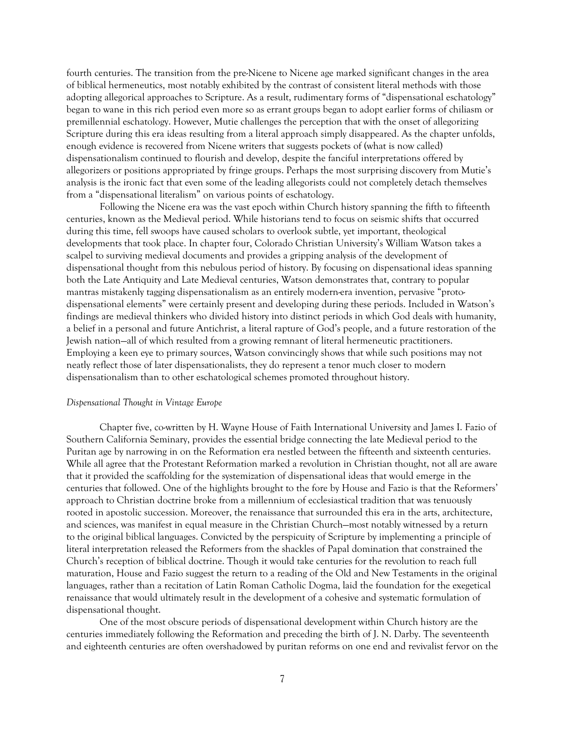fourth centuries. The transition from the pre-Nicene to Nicene age marked significant changes in the area of biblical hermeneutics, most notably exhibited by the contrast of consistent literal methods with those adopting allegorical approaches to Scripture. As a result, rudimentary forms of "dispensational eschatology" began to wane in this rich period even more so as errant groups began to adopt earlier forms of chiliasm or premillennial eschatology. However, Mutie challenges the perception that with the onset of allegorizing Scripture during this era ideas resulting from a literal approach simply disappeared. As the chapter unfolds, enough evidence is recovered from Nicene writers that suggests pockets of (what is now called) dispensationalism continued to flourish and develop, despite the fanciful interpretations offered by allegorizers or positions appropriated by fringe groups. Perhaps the most surprising discovery from Mutie's analysis is the ironic fact that even some of the leading allegorists could not completely detach themselves from a "dispensational literalism" on various points of eschatology.

Following the Nicene era was the vast epoch within Church history spanning the fifth to fifteenth centuries, known as the Medieval period. While historians tend to focus on seismic shifts that occurred during this time, fell swoops have caused scholars to overlook subtle, yet important, theological developments that took place. In chapter four, Colorado Christian University's William Watson takes a scalpel to surviving medieval documents and provides a gripping analysis of the development of dispensational thought from this nebulous period of history. By focusing on dispensational ideas spanning both the Late Antiquity and Late Medieval centuries, Watson demonstrates that, contrary to popular mantras mistakenly tagging dispensationalism as an entirely modern-era invention, pervasive "protodispensational elements" were certainly present and developing during these periods. Included in Watson's findings are medieval thinkers who divided history into distinct periods in which God deals with humanity, a belief in a personal and future Antichrist, a literal rapture of God's people, and a future restoration of the Jewish nation—all of which resulted from a growing remnant of literal hermeneutic practitioners. Employing a keen eye to primary sources, Watson convincingly shows that while such positions may not neatly reflect those of later dispensationalists, they do represent a tenor much closer to modern dispensationalism than to other eschatological schemes promoted throughout history.

## *Dispensational Thought in Vintage Europe*

Chapter five, co-written by H. Wayne House of Faith International University and James I. Fazio of Southern California Seminary, provides the essential bridge connecting the late Medieval period to the Puritan age by narrowing in on the Reformation era nestled between the fifteenth and sixteenth centuries. While all agree that the Protestant Reformation marked a revolution in Christian thought, not all are aware that it provided the scaffolding for the systemization of dispensational ideas that would emerge in the centuries that followed. One of the highlights brought to the fore by House and Fazio is that the Reformers' approach to Christian doctrine broke from a millennium of ecclesiastical tradition that was tenuously rooted in apostolic succession. Moreover, the renaissance that surrounded this era in the arts, architecture, and sciences, was manifest in equal measure in the Christian Church—most notably witnessed by a return to the original biblical languages. Convicted by the perspicuity of Scripture by implementing a principle of literal interpretation released the Reformers from the shackles of Papal domination that constrained the Church's reception of biblical doctrine. Though it would take centuries for the revolution to reach full maturation, House and Fazio suggest the return to a reading of the Old and New Testaments in the original languages, rather than a recitation of Latin Roman Catholic Dogma, laid the foundation for the exegetical renaissance that would ultimately result in the development of a cohesive and systematic formulation of dispensational thought.

One of the most obscure periods of dispensational development within Church history are the centuries immediately following the Reformation and preceding the birth of J. N. Darby. The seventeenth and eighteenth centuries are often overshadowed by puritan reforms on one end and revivalist fervor on the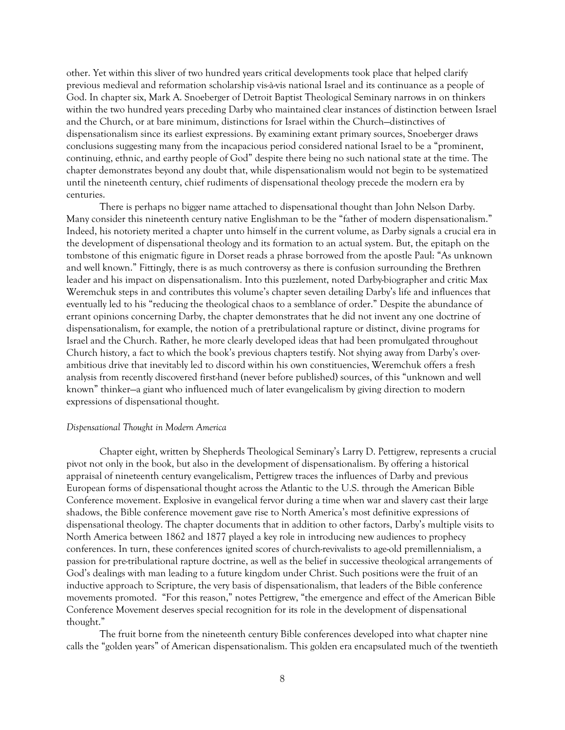other. Yet within this sliver of two hundred years critical developments took place that helped clarify previous medieval and reformation scholarship vis-à-vis national Israel and its continuance as a people of God. In chapter six, Mark A. Snoeberger of Detroit Baptist Theological Seminary narrows in on thinkers within the two hundred years preceding Darby who maintained clear instances of distinction between Israel and the Church, or at bare minimum, distinctions for Israel within the Church—distinctives of dispensationalism since its earliest expressions. By examining extant primary sources, Snoeberger draws conclusions suggesting many from the incapacious period considered national Israel to be a "prominent, continuing, ethnic, and earthy people of God" despite there being no such national state at the time. The chapter demonstrates beyond any doubt that, while dispensationalism would not begin to be systematized until the nineteenth century, chief rudiments of dispensational theology precede the modern era by centuries.

There is perhaps no bigger name attached to dispensational thought than John Nelson Darby. Many consider this nineteenth century native Englishman to be the "father of modern dispensationalism." Indeed, his notoriety merited a chapter unto himself in the current volume, as Darby signals a crucial era in the development of dispensational theology and its formation to an actual system. But, the epitaph on the tombstone of this enigmatic figure in Dorset reads a phrase borrowed from the apostle Paul: "As unknown and well known." Fittingly, there is as much controversy as there is confusion surrounding the Brethren leader and his impact on dispensationalism. Into this puzzlement, noted Darby-biographer and critic Max Weremchuk steps in and contributes this volume's chapter seven detailing Darby's life and influences that eventually led to his "reducing the theological chaos to a semblance of order." Despite the abundance of errant opinions concerning Darby, the chapter demonstrates that he did not invent any one doctrine of dispensationalism, for example, the notion of a pretribulational rapture or distinct, divine programs for Israel and the Church. Rather, he more clearly developed ideas that had been promulgated throughout Church history, a fact to which the book's previous chapters testify. Not shying away from Darby's overambitious drive that inevitably led to discord within his own constituencies, Weremchuk offers a fresh analysis from recently discovered first-hand (never before published) sources, of this "unknown and well known" thinker—a giant who influenced much of later evangelicalism by giving direction to modern expressions of dispensational thought.

#### *Dispensational Thought in Modern America*

Chapter eight, written by Shepherds Theological Seminary's Larry D. Pettigrew, represents a crucial pivot not only in the book, but also in the development of dispensationalism. By offering a historical appraisal of nineteenth century evangelicalism, Pettigrew traces the influences of Darby and previous European forms of dispensational thought across the Atlantic to the U.S. through the American Bible Conference movement. Explosive in evangelical fervor during a time when war and slavery cast their large shadows, the Bible conference movement gave rise to North America's most definitive expressions of dispensational theology. The chapter documents that in addition to other factors, Darby's multiple visits to North America between 1862 and 1877 played a key role in introducing new audiences to prophecy conferences. In turn, these conferences ignited scores of church-revivalists to age-old premillennialism, a passion for pre-tribulational rapture doctrine, as well as the belief in successive theological arrangements of God's dealings with man leading to a future kingdom under Christ. Such positions were the fruit of an inductive approach to Scripture, the very basis of dispensationalism, that leaders of the Bible conference movements promoted. "For this reason," notes Pettigrew, "the emergence and effect of the American Bible Conference Movement deserves special recognition for its role in the development of dispensational thought."

The fruit borne from the nineteenth century Bible conferences developed into what chapter nine calls the "golden years" of American dispensationalism. This golden era encapsulated much of the twentieth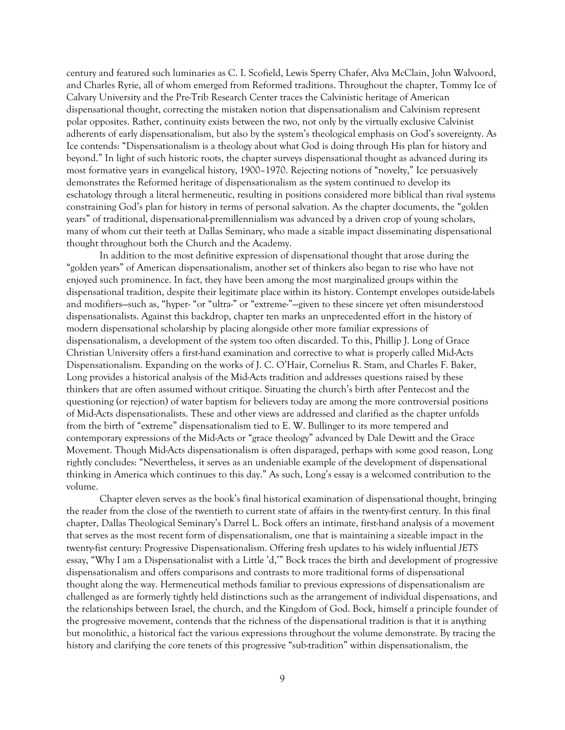century and featured such luminaries as C. I. Scofield, Lewis Sperry Chafer, Alva McClain, John Walvoord, and Charles Ryrie, all of whom emerged from Reformed traditions. Throughout the chapter, Tommy Ice of Calvary University and the Pre-Trib Research Center traces the Calvinistic heritage of American dispensational thought, correcting the mistaken notion that dispensationalism and Calvinism represent polar opposites. Rather, continuity exists between the two, not only by the virtually exclusive Calvinist adherents of early dispensationalism, but also by the system's theological emphasis on God's sovereignty. As Ice contends: "Dispensationalism is a theology about what God is doing through His plan for history and beyond." In light of such historic roots, the chapter surveys dispensational thought as advanced during its most formative years in evangelical history, 1900–1970. Rejecting notions of "novelty," Ice persuasively demonstrates the Reformed heritage of dispensationalism as the system continued to develop its eschatology through a literal hermeneutic, resulting in positions considered more biblical than rival systems constraining God's plan for history in terms of personal salvation. As the chapter documents, the "golden years" of traditional, dispensational-premillennialism was advanced by a driven crop of young scholars, many of whom cut their teeth at Dallas Seminary, who made a sizable impact disseminating dispensational thought throughout both the Church and the Academy.

In addition to the most definitive expression of dispensational thought that arose during the "golden years" of American dispensationalism, another set of thinkers also began to rise who have not enjoyed such prominence. In fact, they have been among the most marginalized groups within the dispensational tradition, despite their legitimate place within its history. Contempt envelopes outside-labels and modifiers—such as, "hyper- "or "ultra-" or "extreme-"—given to these sincere yet often misunderstood dispensationalists. Against this backdrop, chapter ten marks an unprecedented effort in the history of modern dispensational scholarship by placing alongside other more familiar expressions of dispensationalism, a development of the system too often discarded. To this, Phillip J. Long of Grace Christian University offers a first-hand examination and corrective to what is properly called Mid-Acts Dispensationalism. Expanding on the works of J. C. O'Hair, Cornelius R. Stam, and Charles F. Baker, Long provides a historical analysis of the Mid-Acts tradition and addresses questions raised by these thinkers that are often assumed without critique. Situating the church's birth after Pentecost and the questioning (or rejection) of water baptism for believers today are among the more controversial positions of Mid-Acts dispensationalists. These and other views are addressed and clarified as the chapter unfolds from the birth of "extreme" dispensationalism tied to E. W. Bullinger to its more tempered and contemporary expressions of the Mid-Acts or "grace theology" advanced by Dale Dewitt and the Grace Movement. Though Mid-Acts dispensationalism is often disparaged, perhaps with some good reason, Long rightly concludes: "Nevertheless, it serves as an undeniable example of the development of dispensational thinking in America which continues to this day." As such, Long's essay is a welcomed contribution to the volume.

Chapter eleven serves as the book's final historical examination of dispensational thought, bringing the reader from the close of the twentieth to current state of affairs in the twenty-first century. In this final chapter, Dallas Theological Seminary's Darrel L. Bock offers an intimate, first-hand analysis of a movement that serves as the most recent form of dispensationalism, one that is maintaining a sizeable impact in the twenty-fist century: Progressive Dispensationalism. Offering fresh updates to his widely influential *JETS* essay, "Why I am a Dispensationalist with a Little 'd,'" Bock traces the birth and development of progressive dispensationalism and offers comparisons and contrasts to more traditional forms of dispensational thought along the way. Hermeneutical methods familiar to previous expressions of dispensationalism are challenged as are formerly tightly held distinctions such as the arrangement of individual dispensations, and the relationships between Israel, the church, and the Kingdom of God. Bock, himself a principle founder of the progressive movement, contends that the richness of the dispensational tradition is that it is anything but monolithic, a historical fact the various expressions throughout the volume demonstrate. By tracing the history and clarifying the core tenets of this progressive "sub-tradition" within dispensationalism, the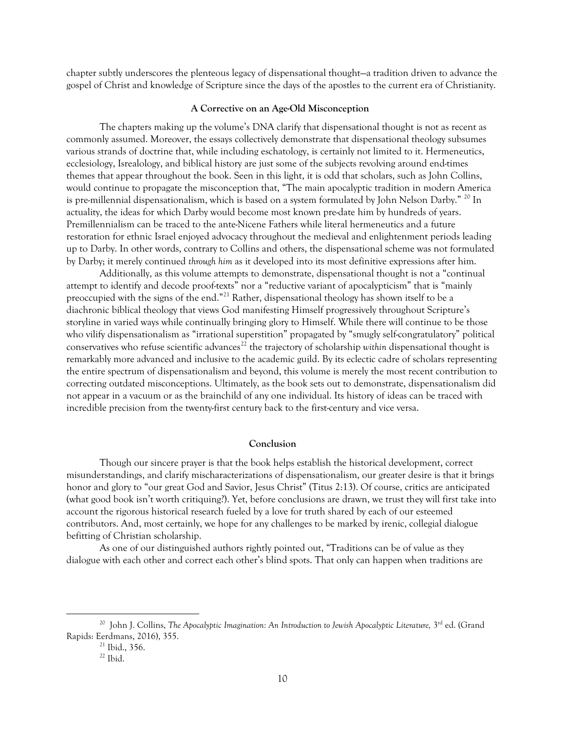chapter subtly underscores the plenteous legacy of dispensational thought—a tradition driven to advance the gospel of Christ and knowledge of Scripture since the days of the apostles to the current era of Christianity.

#### **A Corrective on an Age-Old Misconception**

The chapters making up the volume's DNA clarify that dispensational thought is not as recent as commonly assumed. Moreover, the essays collectively demonstrate that dispensational theology subsumes various strands of doctrine that, while including eschatology, is certainly not limited to it. Hermeneutics, ecclesiology, Isrealology, and biblical history are just some of the subjects revolving around end-times themes that appear throughout the book. Seen in this light, it is odd that scholars, such as John Collins, would continue to propagate the misconception that, "The main apocalyptic tradition in modern America is pre-millennial dispensationalism, which is based on a system formulated by John Nelson Darby." <sup>[20](#page-9-0)</sup> In actuality, the ideas for which Darby would become most known pre-date him by hundreds of years. Premillennialism can be traced to the ante-Nicene Fathers while literal hermeneutics and a future restoration for ethnic Israel enjoyed advocacy throughout the medieval and enlightenment periods leading up to Darby. In other words, contrary to Collins and others, the dispensational scheme was not formulated by Darby; it merely continued *through him* as it developed into its most definitive expressions after him.

Additionally, as this volume attempts to demonstrate, dispensational thought is not a "continual attempt to identify and decode proof-texts" nor a "reductive variant of apocalypticism" that is "mainly preoccupied with the signs of the end."[21](#page-9-1) Rather, dispensational theology has shown itself to be a diachronic biblical theology that views God manifesting Himself progressively throughout Scripture's storyline in varied ways while continually bringing glory to Himself. While there will continue to be those who vilify dispensationalism as "irrational superstition" propagated by "smugly self-congratulatory" political conservatives who refuse scientific advances<sup>[22](#page-9-2)</sup> the trajectory of scholarship *within* dispensational thought is remarkably more advanced and inclusive to the academic guild. By its eclectic cadre of scholars representing the entire spectrum of dispensationalism and beyond, this volume is merely the most recent contribution to correcting outdated misconceptions. Ultimately, as the book sets out to demonstrate, dispensationalism did not appear in a vacuum or as the brainchild of any one individual. Its history of ideas can be traced with incredible precision from the twenty-first century back to the first-century and vice versa.

#### **Conclusion**

Though our sincere prayer is that the book helps establish the historical development, correct misunderstandings, and clarify mischaracterizations of dispensationalism, our greater desire is that it brings honor and glory to "our great God and Savior, Jesus Christ" (Titus 2:13). Of course, critics are anticipated (what good book isn't worth critiquing?). Yet, before conclusions are drawn, we trust they will first take into account the rigorous historical research fueled by a love for truth shared by each of our esteemed contributors. And, most certainly, we hope for any challenges to be marked by irenic, collegial dialogue befitting of Christian scholarship.

As one of our distinguished authors rightly pointed out, "Traditions can be of value as they dialogue with each other and correct each other's blind spots. That only can happen when traditions are

<span id="page-9-2"></span><span id="page-9-1"></span><span id="page-9-0"></span><sup>&</sup>lt;sup>20</sup> John J. Collins, *The Apocalyptic Imagination: An Introduction to Jewish Apocalyptic Literature*, 3<sup>rd</sup> ed. (Grand Rapids: Eerdmans, 2016), 355.

<sup>21</sup> Ibid., 356.

 $22$  Ibid.